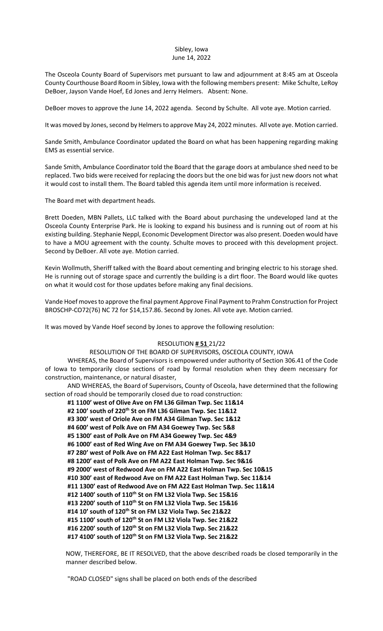#### Sibley, Iowa June 14, 2022

The Osceola County Board of Supervisors met pursuant to law and adjournment at 8:45 am at Osceola County Courthouse Board Room in Sibley, Iowa with the following members present: Mike Schulte, LeRoy DeBoer, Jayson Vande Hoef, Ed Jones and Jerry Helmers. Absent: None.

DeBoer moves to approve the June 14, 2022 agenda. Second by Schulte. All vote aye. Motion carried.

It was moved by Jones, second by Helmers to approve May 24, 2022 minutes. All vote aye. Motion carried.

Sande Smith, Ambulance Coordinator updated the Board on what has been happening regarding making EMS as essential service.

Sande Smith, Ambulance Coordinator told the Board that the garage doors at ambulance shed need to be replaced. Two bids were received for replacing the doors but the one bid was for just new doors not what it would cost to install them. The Board tabled this agenda item until more information is received.

The Board met with department heads.

Brett Doeden, MBN Pallets, LLC talked with the Board about purchasing the undeveloped land at the Osceola County Enterprise Park. He is looking to expand his business and is running out of room at his existing building. Stephanie Neppl, Economic Development Director was also present. Doeden would have to have a MOU agreement with the county. Schulte moves to proceed with this development project. Second by DeBoer. All vote aye. Motion carried.

Kevin Wollmuth, Sheriff talked with the Board about cementing and bringing electric to his storage shed. He is running out of storage space and currently the building is a dirt floor. The Board would like quotes on what it would cost for those updates before making any final decisions.

Vande Hoef moves to approve the final payment Approve Final Payment to Prahm Construction for Project BROSCHP-CO72(76) NC 72 for \$14,157.86. Second by Jones. All vote aye. Motion carried.

It was moved by Vande Hoef second by Jones to approve the following resolution:

### RESOLUTION **# 51** 21/22

#### RESOLUTION OF THE BOARD OF SUPERVISORS, OSCEOLA COUNTY, IOWA

WHEREAS, the Board of Supervisors is empowered under authority of Section 306.41 of the Code of Iowa to temporarily close sections of road by formal resolution when they deem necessary for construction, maintenance, or natural disaster,

AND WHEREAS, the Board of Supervisors, County of Osceola, have determined that the following section of road should be temporarily closed due to road construction:

**#1 1100' west of Olive Ave on FM L36 Gilman Twp. Sec 11&14 #2 100' south of 220th St on FM L36 Gilman Twp. Sec 11&12 #3 300' west of Oriole Ave on FM A34 Gilman Twp. Sec 1&12 #4 600' west of Polk Ave on FM A34 Goewey Twp. Sec 5&8 #5 1300' east of Polk Ave on FM A34 Goewey Twp. Sec 4&9 #6 1000' east of Red Wing Ave on FM A34 Goewey Twp. Sec 3&10 #7 280' west of Polk Ave on FM A22 East Holman Twp. Sec 8&17 #8 1200' east of Polk Ave on FM A22 East Holman Twp. Sec 9&16 #9 2000' west of Redwood Ave on FM A22 East Holman Twp. Sec 10&15 #10 300' east of Redwood Ave on FM A22 East Holman Twp. Sec 11&14 #11 1300' east of Redwood Ave on FM A22 East Holman Twp. Sec 11&14 #12 1400' south of 110th St on FM L32 Viola Twp. Sec 15&16 #13 2200' south of 110th St on FM L32 Viola Twp. Sec 15&16 #14 10' south of 120th St on FM L32 Viola Twp. Sec 21&22 #15 1100' south of 120th St on FM L32 Viola Twp. Sec 21&22 #16 2200' south of 120th St on FM L32 Viola Twp. Sec 21&22 #17 4100' south of 120th St on FM L32 Viola Twp. Sec 21&22**

NOW, THEREFORE, BE IT RESOLVED, that the above described roads be closed temporarily in the manner described below.

"ROAD CLOSED" signs shall be placed on both ends of the described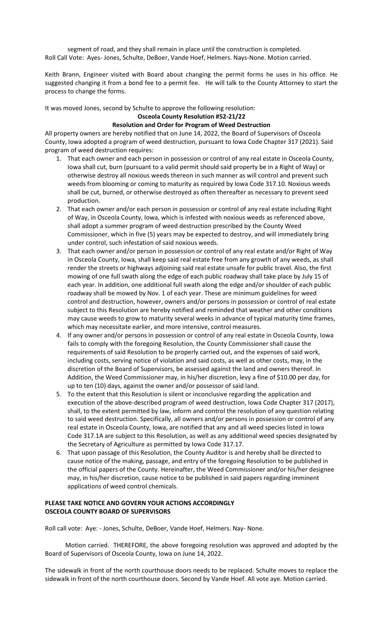segment of road, and they shall remain in place until the construction is completed. Roll Call Vote: Ayes- Jones, Schulte, DeBoer, Vande Hoef, Helmers. Nays-None. Motion carried.

Keith Brann, Engineer visited with Board about changing the permit forms he uses in his office. He suggested changing it from a bond fee to a permit fee. He will talk to the County Attorney to start the process to change the forms.

It was moved Jones, second by Schulte to approve the following resolution:

### **Osceola County Resolution #52-21/22**

# **Resolution and Order for Program of Weed Destruction**

All property owners are hereby notified that on June 14, 2022, the Board of Supervisors of Osceola County, Iowa adopted a program of weed destruction, pursuant to Iowa Code Chapter 317 (2021). Said program of weed destruction requires:

- 1. That each owner and each person in possession or control of any real estate in Osceola County, Iowa shall cut, burn (pursuant to a valid permit should said property be in a Right of Way) or otherwise destroy all noxious weeds thereon in such manner as will control and prevent such weeds from blooming or coming to maturity as required by Iowa Code 317.10. Noxious weeds shall be cut, burned, or otherwise destroyed as often thereafter as necessary to prevent seed production.
- 2. That each owner and/or each person in possession or control of any real estate including Right of Way, in Osceola County, Iowa, which is infested with noxious weeds as referenced above, shall adopt a summer program of weed destruction prescribed by the County Weed Commissioner, which in five (5) years may be expected to destroy, and will immediately bring under control, such infestation of said noxious weeds.
- 3. That each owner and/or person in possession or control of any real estate and/or Right of Way in Osceola County, Iowa, shall keep said real estate free from any growth of any weeds, as shall render the streets or highways adjoining said real estate unsafe for public travel. Also, the first mowing of one full swath along the edge of each public roadway shall take place by July 15 of each year. In addition, one additional full swath along the edge and/or shoulder of each public roadway shall be mowed by Nov. 1 of each year. These are minimum guidelines for weed control and destruction, however, owners and/or persons in possession or control of real estate subject to this Resolution are hereby notified and reminded that weather and other conditions may cause weeds to grow to maturity several weeks in advance of typical maturity time frames, which may necessitate earlier, and more intensive, control measures.
- 4. If any owner and/or persons in possession or control of any real estate in Osceola County, Iowa fails to comply with the foregoing Resolution, the County Commissioner shall cause the requirements of said Resolution to be properly carried out, and the expenses of said work, including costs, serving notice of violation and said costs, as well as other costs, may, in the discretion of the Board of Supervisors, be assessed against the land and owners thereof. In Addition, the Weed Commissioner may, in his/her discretion, levy a fine of \$10.00 per day, for up to ten (10) days, against the owner and/or possessor of said land.
- 5. To the extent that this Resolution is silent or inconclusive regarding the application and execution of the above-described program of weed destruction, Iowa Code Chapter 317 (2017), shall, to the extent permitted by law, inform and control the resolution of any question relating to said weed destruction. Specifically, all owners and/or persons in possession or control of any real estate in Osceola County, Iowa, are notified that any and all weed species listed in Iowa Code 317.1A are subject to this Resolution, as well as any additional weed species designated by the Secretary of Agriculture as permitted by Iowa Code 317.17.
- 6. That upon passage of this Resolution, the County Auditor is and hereby shall be directed to cause notice of the making, passage, and entry of the foregoing Resolution to be published in the official papers of the County. Hereinafter, the Weed Commissioner and/or his/her designee may, in his/her discretion, cause notice to be published in said papers regarding imminent applications of weed control chemicals.

# **PLEASE TAKE NOTICE AND GOVERN YOUR ACTIONS ACCORDINGLY OSCEOLA COUNTY BOARD OF SUPERVISORS**

Roll call vote: Aye: - Jones, Schulte, DeBoer, Vande Hoef, Helmers. Nay- None.

 Motion carried. THEREFORE, the above foregoing resolution was approved and adopted by the Board of Supervisors of Osceola County, Iowa on June 14, 2022.

The sidewalk in front of the north courthouse doors needs to be replaced. Schulte moves to replace the sidewalk in front of the north courthouse doors. Second by Vande Hoef. All vote aye. Motion carried.